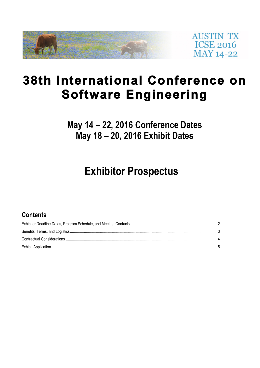

**AUSTIN TX ICSE 2016 MAY 14-22** 

# **38th International Conference on Software Engineering**

**May 14 – 22, 2016 Conference Dates May 18 – 20, 2016 Exhibit Dates**

# **Exhibitor Prospectus**

## **Contents**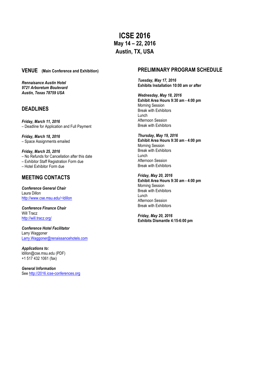**ICSE 2016 May 14 – 22, 2016 Austin, TX, USA**

### **VENUE (Main Conference and Exhibition)**

*Rennaisance Austin Hotel 9721 Arboretum Boulevard Austin, Texas 78759 USA* 

## **DEADLINES**

*Friday, March 11, 2016* – Deadline for Application and Full Payment

*Friday, March 18, 2016* – Space Assignments emailed

*Friday, March 25, 2016* – No Refunds for Cancellation after this date – Exhibitor Staff Registration Form due

– Hotel Exhibitor Form due

## **MEETING CONTACTS**

*Conference General Chair* Laura Dillon http://www.cse.msu.edu/~ldillon

*Conference Finance Chair* Will Tracz http://will.tracz.org/

*Conference Hotel Facilitator* Larry Waggoner Larry.Waggoner@renaissancehotels.com

*Applications to:* ldillon@cse.msu.edu (PDF) +1 517 432 1061 (fax)

*General Information* See http://2016.icse-conferences.org

## **PRELIMINARY PROGRAM SCHEDULE**

*Tuesday, May 17, 2016* **Exhibits Installation 10:00 am or after**

*Wednesday, May 18, 2016* **Exhibit Area Hours 9:30 am - 4:00 pm** Morning Session Break with Exhibitors Lunch Afternoon Session Break with Exhibitors

*Thursday, May 19, 2016* **Exhibit Area Hours 9:30 am - 4:00 pm** Morning Session Break with Exhibitors Lunch Afternoon Session Break with Exhibitors

*Friday, May 20, 2016* **Exhibit Area Hours 9:30 am - 4:00 pm** Morning Session Break with Exhibitors Lunch Afternoon Session Break with Exhibitors

*Friday, May 20, 2016* **Exhibits Dismantle 4:15-6:00 pm**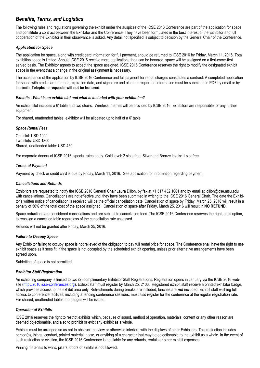## *Benefits, Terms, and Logistics*

The following rules and regulations governing the exhibit under the auspices of the ICSE 2016 Conference are part of the application for space and constitute a contract between the Exhibitor and the Conference. They have been formulated in the best interest of the Exhibitor and full cooperation of the Exhibitor in their observance is asked. Any detail not specified is subject to decision by the General Chair of the Conference.

#### *Application for Space*

The application for space, along with credit card information for full payment, should be returned to ICSE 2016 by Friday, March 11, 2016**.** Total exhibition space is limited. Should ICSE 2016 receive more applications than can be honored, space will be assigned on a first-come-first served basis. The Exhibitor agrees to accept the space assigned. ICSE 2016 Conference reserves the right to modify the designated exhibit space in the event that a change in the original assignment is necessary.

The acceptance of the application by ICSE 2016 Conference and full payment for rental charges constitutes a contract. A completed application for space with credit card number, expiration date, and signature and all other requested information must be submitted in PDF by email or by facsimile. **Telephone requests will not be honored.**

#### *Exhibits - What is an exhibit slot and what is included with your exhibit fee?*

An exhibit slot includes a 6' table and two chairs. Wireless Internet will be provided by ICSE 2016. Exhibitors are responsible for any further equipment.

For shared, unattended tables, exhibitor will be allocated up to half of a 6' table.

#### *Space Rental Fees*

One slot: USD 1000 Two slots: USD 1800 Shared, unattended table: USD 450

For corporate donors of ICSE 2016, special rates apply. Gold level: 2 slots free; Silver and Bronze levels: 1 slot free.

#### *Terms of Payment*

Payment by check or credit card is due by Friday, March 11, 2016. See application for information regarding payment.

#### *Cancellations and Refunds*

Exhibitors are requested to notify the ICSE 2016 General Chair Laura Dillon, by fax at +1 517 432 1061 and by email at ldillon@cse.msu.edu with cancellations. Cancellations are not effective until they have been submitted in writing to the ICSE 2016 General Chair. The date the Exhibitor's written notice of cancellation is received will be the official cancellation date. Cancellation of space by Friday, March 25, 2016 will result in a penalty of 50% of the total cost of the space assigned. Cancellation of space after Friday, March 25, 2016 will result in **NO REFUND**.

Space reductions are considered cancellations and are subject to cancellation fees. The ICSE 2016 Conference reserves the right, at its option, to reassign a cancelled table regardless of the cancellation rate assessed.

Refunds will not be granted after Friday, March 25, 2016.

#### *Failure to Occupy Space*

Any Exhibitor failing to occupy space is not relieved of the obligation to pay full rental price for space. The Conference shall have the right to use exhibit space as it sees fit, if the space is not occupied by the scheduled exhibit opening, unless prior alternative arrangements have been agreed upon.

Subletting of space is not permitted.

#### *Exhibitor Staff Registration*

An exhibiting company is limited to two (2) complimentary Exhibitor Staff Registrations. Registration opens in January via the ICSE 2016 website (http://2016.icse-conferences.org). Exhibit staff must register by March 25, 2106. Registered exhibit staff receive a printed exhibitor badge, which provides access to the exhibit area only. Refreshments during breaks are included; lunches are *not* included. Exhibit staff wishing full access to conference facilities, including attending conference sessions, must also register for the conference at the regular registration rate. For shared, unattended tables, no badges will be issued.

#### *Operation of Exhibits*

ICSE 2016 reserves the right to restrict exhibits which, because of sound, method of operation, materials, content or any other reason are deemed objectionable, and also to prohibit or evict any exhibit as a whole.

Exhibits must be arranged so as not to obstruct the view or otherwise interfere with the displays of other Exhibitors. This restriction includes person(s), things, conduct, printed material, noise, or anything of a character that may be objectionable to the exhibit as a whole. In the event of such restriction or eviction, the ICSE 2016 Conference is not liable for any refunds, rentals or other exhibit expenses.

Pinning materials to walls, pillars, doors or similar is not allowed.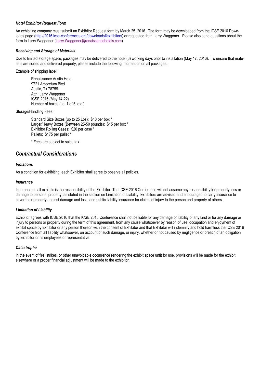#### *Hotel Exhibitor Request Form*

An exhibiting company must submit an Exhibitor Request form by March 25, 2016. The form may be downloaded from the ICSE 2016 Downloads page (http://2016.icse-conferences.org/downloads#exhibitors) or requested from Larry Waggoner. Please also send questions about the form to Larry Waggoner (Larry.Waggoner@renaissancehotels.com).

#### *Receiving and Storage of Materials*

Due to limited storage space, packages may be delivered to the hotel (3) working days prior to installation (May 17, 2016). To ensure that materials are sorted and delivered properly, please include the following information on all packages.

Example of shipping label:

Renaissance Austin Hotel 9721 Arboretum Blvd Austin, Tx 78759 Attn: Larry Waggoner ICSE 2016 (May 14-22) Number of boxes (i.e. 1 of 5, etc.)

Storage/Handling Fees:

Standard Size Boxes (up to 25 Lbs): \$10 per box \* Larger/Heavy Boxes (Between 25-50 pounds): \$15 per box \* Exhibitor Rolling Cases: \$20 per case \* Pallets: \$175 per pallet \*

\* Fees are subject to sales tax

### *Contractual Considerations*

#### *Violations*

As a condition for exhibiting, each Exhibitor shall agree to observe all policies.

#### *Insurance*

Insurance on all exhibits is the responsibility of the Exhibitor. The ICSE 2016 Conference will not assume any responsibility for property loss or damage to personal property, as stated in the section on Limitation of Liability. Exhibitors are advised and encouraged to carry insurance to cover their property against damage and loss, and public liability insurance for claims of injury to the person and property of others.

#### *Limitation of Liability*

Exhibitor agrees with ICSE 2016 that the ICSE 2016 Conference shall not be liable for any damage or liability of any kind or for any damage or injury to persons or property during the term of this agreement, from any cause whatsoever by reason of use, occupation and enjoyment of exhibit space by Exhibitor or any person thereon with the consent of Exhibitor and that Exhibitor will indemnify and hold harmless the ICSE 2016 Conference from all liability whatsoever, on account of such damage, or injury, whether or not caused by negligence or breach of an obligation by Exhibitor or its employees or representative.

#### *Catastrophe*

In the event of fire, strikes, or other unavoidable occurrence rendering the exhibit space unfit for use, provisions will be made for the exhibit elsewhere or a proper financial adjustment will be made to the exhibitor.